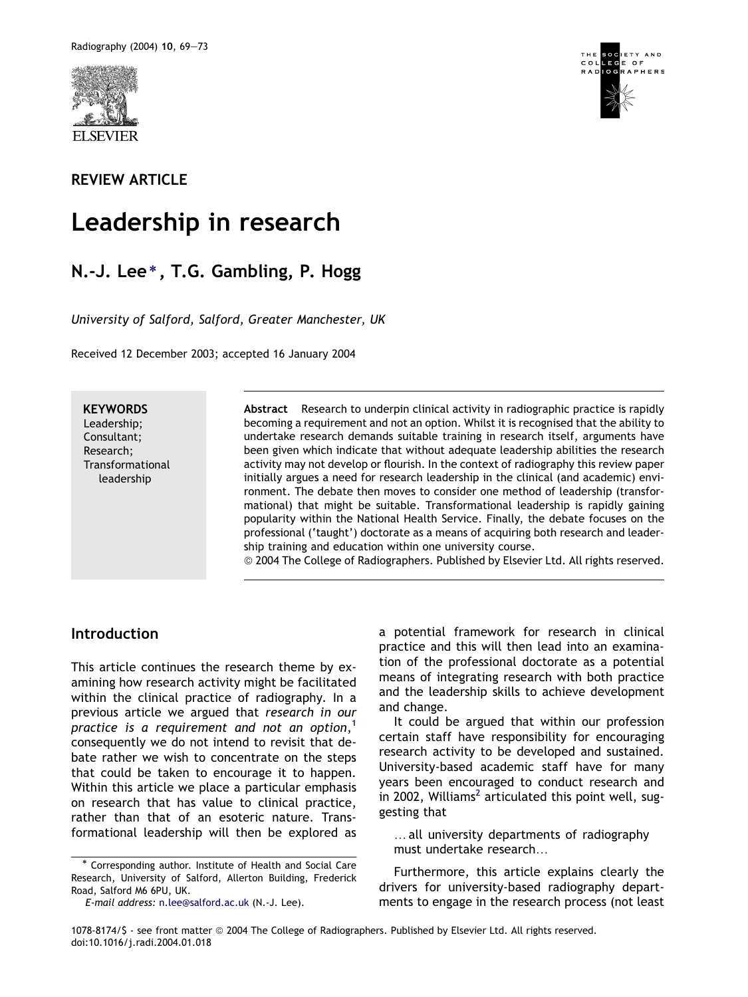

# REVIEW ARTICLE

# Leadership in research

# N.-J. Lee\*, T.G. Gambling, P. Hogg

University of Salford, Salford, Greater Manchester, UK

Received 12 December 2003; accepted 16 January 2004

**KEYWORDS** 

Leadership; Consultant; Research; Transformational leadership

Abstract Research to underpin clinical activity in radiographic practice is rapidly becoming a requirement and not an option. Whilst it is recognised that the ability to undertake research demands suitable training in research itself, arguments have been given which indicate that without adequate leadership abilities the research activity may not develop or flourish. In the context of radiography this review paper initially argues a need for research leadership in the clinical (and academic) environment. The debate then moves to consider one method of leadership (transformational) that might be suitable. Transformational leadership is rapidly gaining popularity within the National Health Service. Finally, the debate focuses on the professional ('taught') doctorate as a means of acquiring both research and leadership training and education within one university course.

ª 2004 The College of Radiographers. Published by Elsevier Ltd. All rights reserved.

## Introduction

This article continues the research theme by examining how research activity might be facilitated within the clinical practice of radiography. In a previous article we argued that research in our  $\frac{1}{2}$  $\frac{1}{2}$  $\frac{1}{2}$  practice is a requirement and not an option,  $^1$ consequently we do not intend to revisit that debate rather we wish to concentrate on the steps that could be taken to encourage it to happen. Within this article we place a particular emphasis on research that has value to clinical practice, rather than that of an esoteric nature. Transformational leadership will then be explored as

a potential framework for research in clinical practice and this will then lead into an examination of the professional doctorate as a potential means of integrating research with both practice and the leadership skills to achieve development and change.

It could be argued that within our profession certain staff have responsibility for encouraging research activity to be developed and sustained. University-based academic staff have for many years been encouraged to conduct research and in [2](#page-3-0)002, Williams<sup>2</sup> articulated this point well, suggesting that

... all university departments of radiography must undertake research.

Furthermore, this article explains clearly the drivers for university-based radiography departments to engage in the research process (not least



<sup>)</sup> Corresponding author. Institute of Health and Social Care Research, University of Salford, Allerton Building, Frederick Road, Salford M6 6PU, UK.

E-mail address: [n.lee@salford.ac.uk](mailto:n.lee@salford.ac.uk) (N.-J. Lee).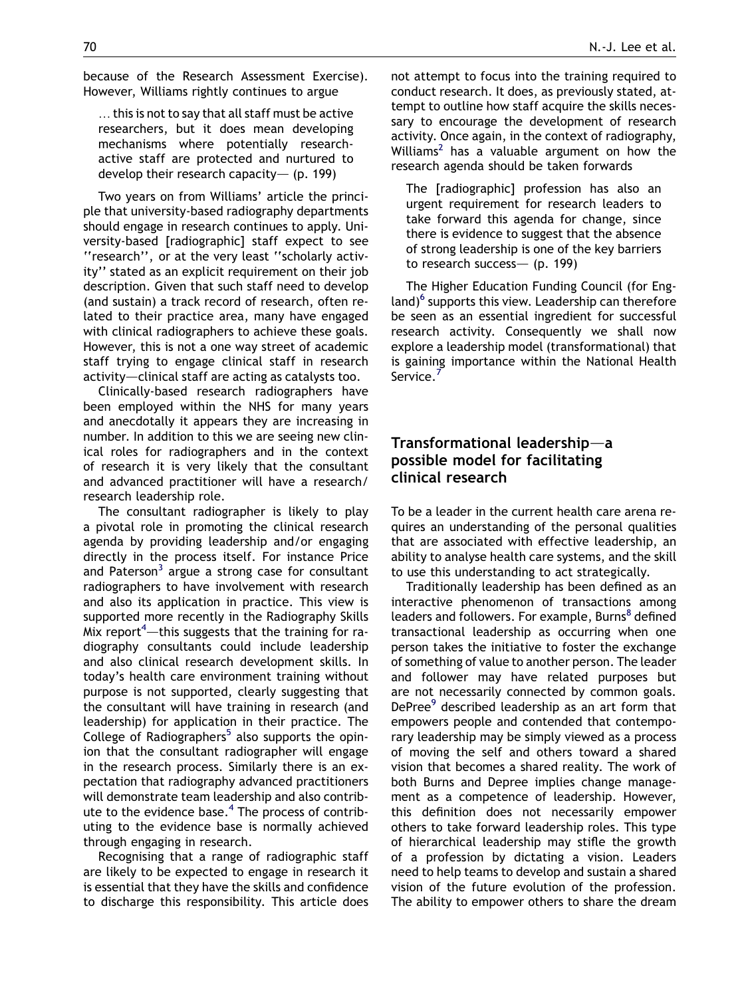because of the Research Assessment Exercise). However, Williams rightly continues to argue

... this is not to say that all staff must be active researchers, but it does mean developing mechanisms where potentially researchactive staff are protected and nurtured to develop their research capacity— (p. 199)

Two years on from Williams' article the principle that university-based radiography departments should engage in research continues to apply. University-based [radiographic] staff expect to see ''research'', or at the very least ''scholarly activity'' stated as an explicit requirement on their job description. Given that such staff need to develop (and sustain) a track record of research, often related to their practice area, many have engaged with clinical radiographers to achieve these goals. However, this is not a one way street of academic staff trying to engage clinical staff in research activity—clinical staff are acting as catalysts too.

Clinically-based research radiographers have been employed within the NHS for many years and anecdotally it appears they are increasing in number. In addition to this we are seeing new clinical roles for radiographers and in the context of research it is very likely that the consultant and advanced practitioner will have a research/ research leadership role.

The consultant radiographer is likely to play a pivotal role in promoting the clinical research agenda by providing leadership and/or engaging directly in the process itself. For instance Price and Paterson $3$  argue a strong case for consultant radiographers to have involvement with research and also its application in practice. This view is supported more recently in the Radiography Skills Mix report $4$ —this suggests that the training for radiography consultants could include leadership and also clinical research development skills. In today's health care environment training without purpose is not supported, clearly suggesting that the consultant will have training in research (and leadership) for application in their practice. The College of Radiographers<sup>[5](#page-3-0)</sup> also supports the opinion that the consultant radiographer will engage in the research process. Similarly there is an expectation that radiography advanced practitioners will demonstrate team leadership and also contribute to the evidence base. $4$  The process of contributing to the evidence base is normally achieved through engaging in research.

Recognising that a range of radiographic staff are likely to be expected to engage in research it is essential that they have the skills and confidence to discharge this responsibility. This article does not attempt to focus into the training required to conduct research. It does, as previously stated, attempt to outline how staff acquire the skills necessary to encourage the development of research activity. Once again, in the context of radiography, Williams<sup>[2](#page-3-0)</sup> has a valuable argument on how the research agenda should be taken forwards

The [radiographic] profession has also an urgent requirement for research leaders to take forward this agenda for change, since there is evidence to suggest that the absence of strong leadership is one of the key barriers to research success—  $(p. 199)$ 

The Higher Education Funding Council (for Eng- $\lambda^{6}$  $\lambda^{6}$  $\lambda^{6}$  supports this view. Leadership can therefore be seen as an essential ingredient for successful research activity. Consequently we shall now explore a leadership model (transformational) that is gaining importance within the National Health Service.'

## Transformational leadership $-a$ possible model for facilitating clinical research

To be a leader in the current health care arena requires an understanding of the personal qualities that are associated with effective leadership, an ability to analyse health care systems, and the skill to use this understanding to act strategically.

Traditionally leadership has been defined as an interactive phenomenon of transactions among leaders and followers. For example, Burns<sup>[8](#page-3-0)</sup> defined transactional leadership as occurring when one person takes the initiative to foster the exchange of something of value to another person. The leader and follower may have related purposes but are not necessarily connected by common goals. DePree<sup>[9](#page-3-0)</sup> described leadership as an art form that empowers people and contended that contemporary leadership may be simply viewed as a process of moving the self and others toward a shared vision that becomes a shared reality. The work of both Burns and Depree implies change management as a competence of leadership. However, this definition does not necessarily empower others to take forward leadership roles. This type of hierarchical leadership may stifle the growth of a profession by dictating a vision. Leaders need to help teams to develop and sustain a shared vision of the future evolution of the profession. The ability to empower others to share the dream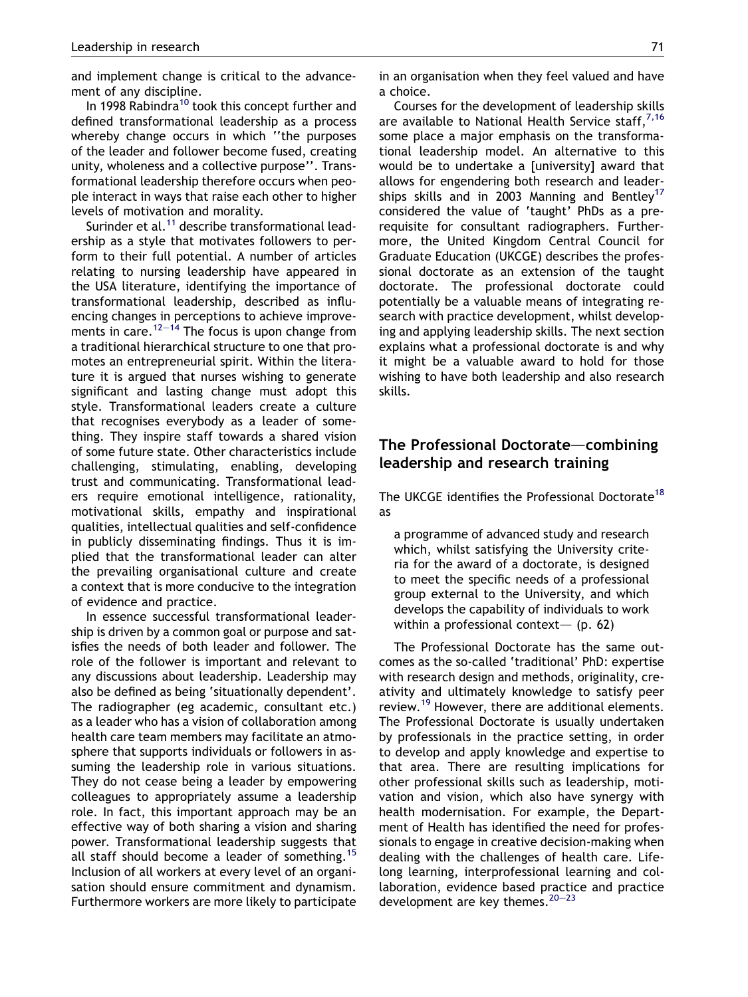and implement change is critical to the advancement of any discipline.

In 1998 Rabindra<sup>[10](#page-4-0)</sup> took this concept further and defined transformational leadership as a process whereby change occurs in which ''the purposes of the leader and follower become fused, creating unity, wholeness and a collective purpose''. Transformational leadership therefore occurs when people interact in ways that raise each other to higher levels of motivation and morality.

Surinder et al.<sup>[11](#page-4-0)</sup> describe transformational leadership as a style that motivates followers to perform to their full potential. A number of articles relating to nursing leadership have appeared in the USA literature, identifying the importance of transformational leadership, described as influencing changes in perceptions to achieve improve-ments in care.<sup>12–[14](#page-4-0)</sup> The focus is upon change from a traditional hierarchical structure to one that promotes an entrepreneurial spirit. Within the literature it is argued that nurses wishing to generate significant and lasting change must adopt this style. Transformational leaders create a culture that recognises everybody as a leader of something. They inspire staff towards a shared vision of some future state. Other characteristics include challenging, stimulating, enabling, developing trust and communicating. Transformational leaders require emotional intelligence, rationality, motivational skills, empathy and inspirational qualities, intellectual qualities and self-confidence in publicly disseminating findings. Thus it is implied that the transformational leader can alter the prevailing organisational culture and create a context that is more conducive to the integration of evidence and practice.

In essence successful transformational leadership is driven by a common goal or purpose and satisfies the needs of both leader and follower. The role of the follower is important and relevant to any discussions about leadership. Leadership may also be defined as being 'situationally dependent'. The radiographer (eg academic, consultant etc.) as a leader who has a vision of collaboration among health care team members may facilitate an atmosphere that supports individuals or followers in assuming the leadership role in various situations. They do not cease being a leader by empowering colleagues to appropriately assume a leadership role. In fact, this important approach may be an effective way of both sharing a vision and sharing power. Transformational leadership suggests that all staff should become a leader of something.<sup>[15](#page-4-0)</sup> Inclusion of all workers at every level of an organisation should ensure commitment and dynamism. Furthermore workers are more likely to participate in an organisation when they feel valued and have a choice.

Courses for the development of leadership skills are available to National Health Service staff,  $7,16$ some place a major emphasis on the transformational leadership model. An alternative to this would be to undertake a [university] award that allows for engendering both research and leader-ships skills and in 2003 Manning and Bentlev<sup>[17](#page-4-0)</sup> considered the value of 'taught' PhDs as a prerequisite for consultant radiographers. Furthermore, the United Kingdom Central Council for Graduate Education (UKCGE) describes the professional doctorate as an extension of the taught doctorate. The professional doctorate could potentially be a valuable means of integrating research with practice development, whilst developing and applying leadership skills. The next section explains what a professional doctorate is and why it might be a valuable award to hold for those wishing to have both leadership and also research skills.

### The Professional Doctorate—combining leadership and research training

The UKCGE identifies the Professional Doctorate<sup>[18](#page-4-0)</sup> as

a programme of advanced study and research which, whilst satisfying the University criteria for the award of a doctorate, is designed to meet the specific needs of a professional group external to the University, and which develops the capability of individuals to work within a professional context- $($ p. 62)

The Professional Doctorate has the same outcomes as the so-called 'traditional' PhD: expertise with research design and methods, originality, creativity and ultimately knowledge to satisfy peer review.[19](#page-4-0) However, there are additional elements. The Professional Doctorate is usually undertaken by professionals in the practice setting, in order to develop and apply knowledge and expertise to that area. There are resulting implications for other professional skills such as leadership, motivation and vision, which also have synergy with health modernisation. For example, the Department of Health has identified the need for professionals to engage in creative decision-making when dealing with the challenges of health care. Lifelong learning, interprofessional learning and collaboration, evidence based practice and practice development are key themes.  $20-23$  $20-23$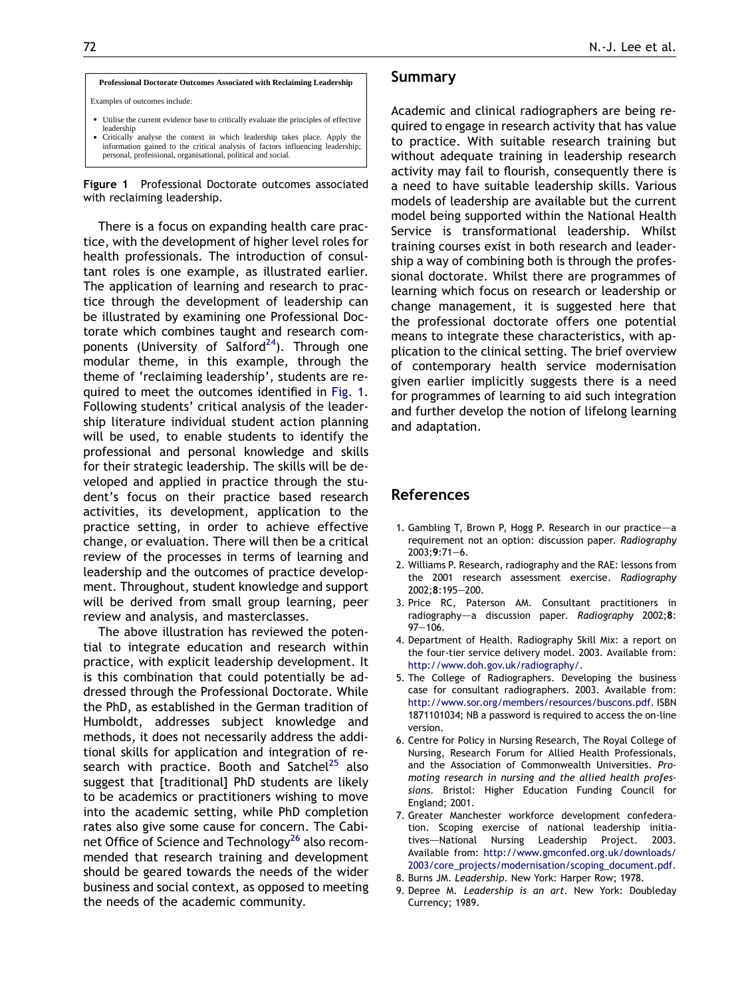<span id="page-3-0"></span>

Figure 1 Professional Doctorate outcomes associated with reclaiming leadership.

There is a focus on expanding health care practice, with the development of higher level roles for health professionals. The introduction of consultant roles is one example, as illustrated earlier. The application of learning and research to practice through the development of leadership can be illustrated by examining one Professional Doctorate which combines taught and research com-ponents (University of Salford<sup>[24](#page-4-0)</sup>). Through one modular theme, in this example, through the theme of 'reclaiming leadership', students are required to meet the outcomes identified in Fig. 1. Following students' critical analysis of the leadership literature individual student action planning will be used, to enable students to identify the professional and personal knowledge and skills for their strategic leadership. The skills will be developed and applied in practice through the student's focus on their practice based research activities, its development, application to the practice setting, in order to achieve effective change, or evaluation. There will then be a critical review of the processes in terms of learning and leadership and the outcomes of practice development. Throughout, student knowledge and support will be derived from small group learning, peer review and analysis, and masterclasses.

The above illustration has reviewed the potential to integrate education and research within practice, with explicit leadership development. It is this combination that could potentially be addressed through the Professional Doctorate. While the PhD, as established in the German tradition of Humboldt, addresses subject knowledge and methods, it does not necessarily address the additional skills for application and integration of re-search with practice. Booth and Satchel<sup>[25](#page-4-0)</sup> also suggest that [traditional] PhD students are likely to be academics or practitioners wishing to move into the academic setting, while PhD completion rates also give some cause for concern. The Cabi-net Office of Science and Technology<sup>[26](#page-4-0)</sup> also recommended that research training and development should be geared towards the needs of the wider business and social context, as opposed to meeting the needs of the academic community.

#### Summary

Academic and clinical radiographers are being required to engage in research activity that has value to practice. With suitable research training but without adequate training in leadership research activity may fail to flourish, consequently there is a need to have suitable leadership skills. Various models of leadership are available but the current model being supported within the National Health Service is transformational leadership. Whilst training courses exist in both research and leadership a way of combining both is through the professional doctorate. Whilst there are programmes of learning which focus on research or leadership or change management, it is suggested here that the professional doctorate offers one potential means to integrate these characteristics, with application to the clinical setting. The brief overview of contemporary health service modernisation given earlier implicitly suggests there is a need for programmes of learning to aid such integration and further develop the notion of lifelong learning and adaptation.

### References

- 1. Gambling T, Brown P, Hogg P. Research in our practice $-a$ requirement not an option: discussion paper. Radiography  $2003.9.71 - 6$
- 2. Williams P. Research, radiography and the RAE: lessons from the 2001 research assessment exercise. Radiography 2002;8:195-200.
- 3. Price RC, Paterson AM. Consultant practitioners in radiography-a discussion paper. Radiography 2002:8:  $97 - 106$
- 4. Department of Health. Radiography Skill Mix: a report on the four-tier service delivery model. 2003. Available from: <http://www.doh.gov.uk/radiography/>.
- 5. The College of Radiographers. Developing the business case for consultant radiographers. 2003. Available from: [http://www.sor.org/members/resources/buscons.pdf.](http://www.sor.org/members/resources/buscons.pdf) ISBN 1871101034; NB a password is required to access the on-line version.
- 6. Centre for Policy in Nursing Research, The Royal College of Nursing, Research Forum for Allied Health Professionals, and the Association of Commonwealth Universities. Promoting research in nursing and the allied health professions. Bristol: Higher Education Funding Council for England; 2001.
- 7. Greater Manchester workforce development confederation. Scoping exercise of national leadership initiatives-National Nursing Leadership Project. 2003. Available from: [http://www.gmconfed.org.uk/downloads/](http://www.gmconfed.org.uk/downloads/2003/core_projects/modernisation/scoping_document.pdf) [2003/core\\_projects/modernisation/scoping\\_document.pdf](http://www.gmconfed.org.uk/downloads/2003/core_projects/modernisation/scoping_document.pdf).
- 8. Burns JM. Leadership. New York: Harper Row; 1978.
- 9. Depree M. Leadership is an art. New York: Doubleday Currency; 1989.